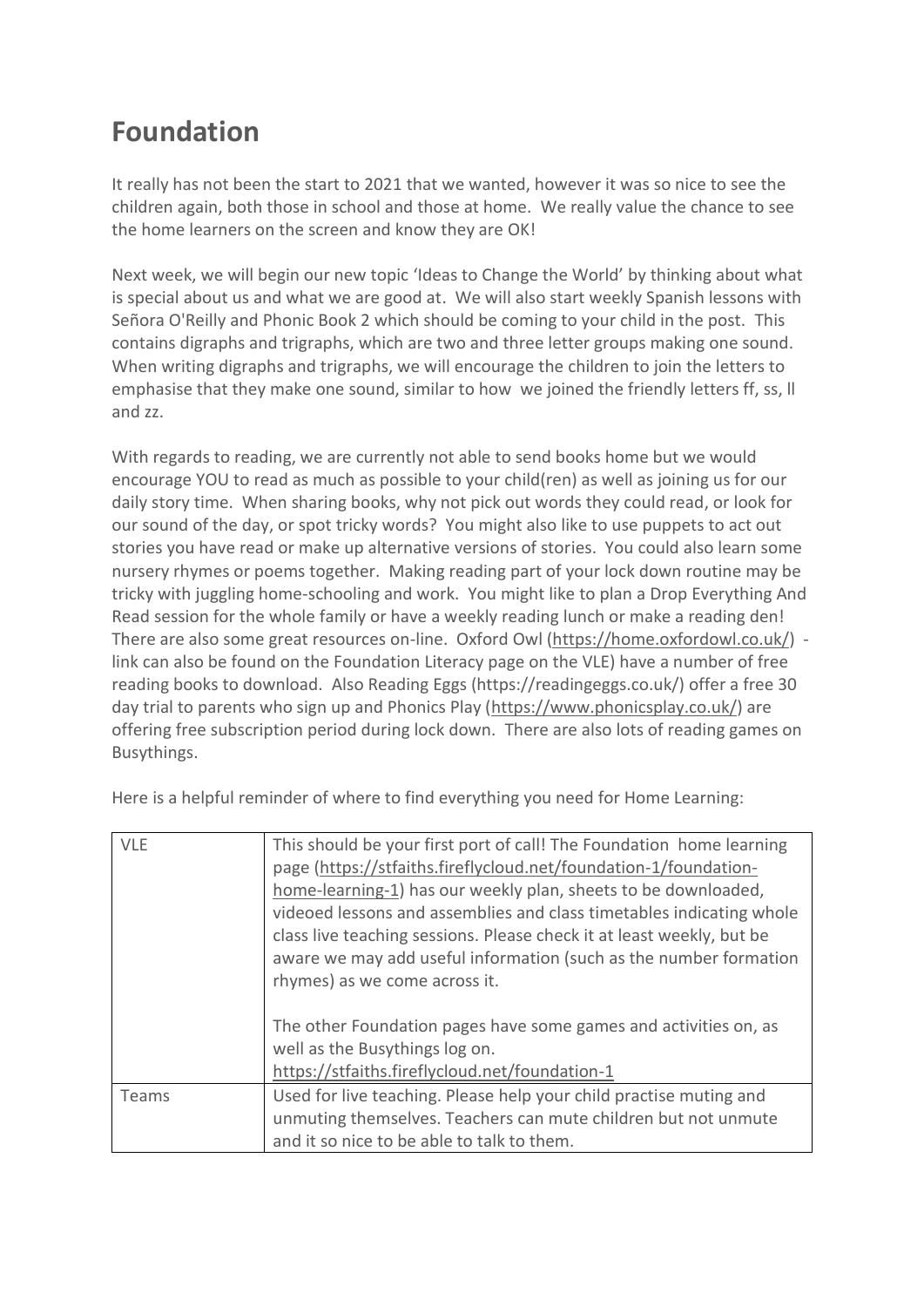## **Foundation**

It really has not been the start to 2021 that we wanted, however it was so nice to see the children again, both those in school and those at home. We really value the chance to see the home learners on the screen and know they are OK!

Next week, we will begin our new topic 'Ideas to Change the World' by thinking about what is special about us and what we are good at. We will also start weekly Spanish lessons with [Señora](http://www.spanishdict.com/translate/se%C3%B1or%C3%ADa) O'Reilly and Phonic Book 2 which should be coming to your child in the post. This contains digraphs and trigraphs, which are two and three letter groups making one sound. When writing digraphs and trigraphs, we will encourage the children to join the letters to emphasise that they make one sound, similar to how we joined the friendly letters ff, ss, ll and zz.

With regards to reading, we are currently not able to send books home but we would encourage YOU to read as much as possible to your child(ren) as well as joining us for our daily story time. When sharing books, why not pick out words they could read, or look for our sound of the day, or spot tricky words? You might also like to use puppets to act out stories you have read or make up alternative versions of stories. You could also learn some nursery rhymes or poems together. Making reading part of your lock down routine may be tricky with juggling home-schooling and work. You might like to plan a Drop Everything And Read session for the whole family or have a weekly reading lunch or make a reading den! There are also some great resources on-line. Oxford Owl [\(https://home.oxfordowl.co.uk/\)](https://home.oxfordowl.co.uk/) link can also be found on the Foundation Literacy page on the VLE) have a number of free reading books to download. Also Reading Eggs (https://readingeggs.co.uk/) offer a free 30 day trial to parents who sign up and Phonics Play [\(https://www.phonicsplay.co.uk/\)](https://www.phonicsplay.co.uk/) are offering free subscription period during lock down. There are also lots of reading games on Busythings.

| <b>VLE</b> | This should be your first port of call! The Foundation home learning<br>page (https://stfaiths.fireflycloud.net/foundation-1/foundation-<br>home-learning-1) has our weekly plan, sheets to be downloaded,<br>videoed lessons and assemblies and class timetables indicating whole<br>class live teaching sessions. Please check it at least weekly, but be<br>aware we may add useful information (such as the number formation<br>rhymes) as we come across it. |
|------------|-------------------------------------------------------------------------------------------------------------------------------------------------------------------------------------------------------------------------------------------------------------------------------------------------------------------------------------------------------------------------------------------------------------------------------------------------------------------|
|            | The other Foundation pages have some games and activities on, as<br>well as the Busythings log on.<br>https://stfaiths.fireflycloud.net/foundation-1                                                                                                                                                                                                                                                                                                              |
| Teams      | Used for live teaching. Please help your child practise muting and                                                                                                                                                                                                                                                                                                                                                                                                |
|            | unmuting themselves. Teachers can mute children but not unmute                                                                                                                                                                                                                                                                                                                                                                                                    |
|            | and it so nice to be able to talk to them.                                                                                                                                                                                                                                                                                                                                                                                                                        |

Here is a helpful reminder of where to find everything you need for Home Learning: